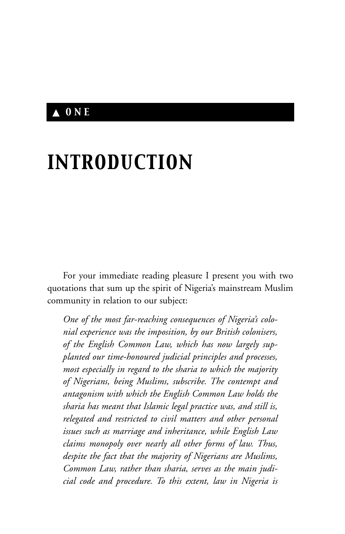## ▲ *ONE*

# *INTRODUCTION*

For your immediate reading pleasure I present you with two quotations that sum up the spirit of Nigeria's mainstream Muslim community in relation to our subject:

*One of the most far-reaching consequences of Nigeria's colonial experience was the imposition, by our British colonisers, of the English Common Law, which has now largely supplanted our time-honoured judicial principles and processes, most especially in regard to the sharia to which the majority of Nigerians, being Muslims, subscribe. The contempt and antagonism with which the English Common Law holds the sharia has meant that Islamic legal practice was, and still is, relegated and restricted to civil matters and other personal issues such as marriage and inheritance, while English Law claims monopoly over nearly all other forms of law. Thus, despite the fact that the majority of Nigerians are Muslims, Common Law, rather than sharia, serves as the main judicial code and procedure. To this extent, law in Nigeria is*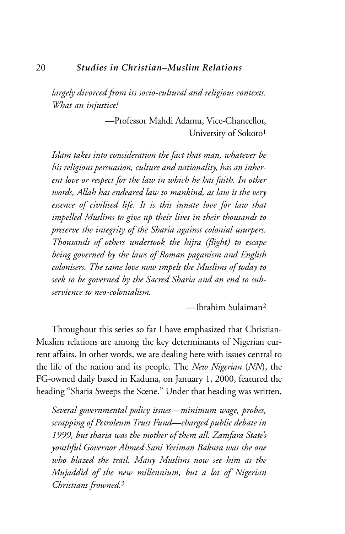*largely divorced from its socio-cultural and religious contexts. What an injustice!*

> —Professor Mahdi Adamu, Vice-Chancellor, University of Sokoto<sup>1</sup>

*Islam takes into consideration the fact that man, whatever be his religious persuasion, culture and nationality, has an inherent love or respect for the law in which he has faith. In other words, Allah has endeared law to mankind, as law is the very essence of civilised life. It is this innate love for law that impelled Muslims to give up their lives in their thousands to preserve the integrity of the Sharia against colonial usurpers. Thousands of others undertook the hijra (flight) to escape being governed by the laws of Roman paganism and English colonisers. The same love now impels the Muslims of today to seek to be governed by the Sacred Sharia and an end to subservience to neo-colonialism.*

—Ibrahim Sulaiman2

Throughout this series so far I have emphasized that Christian-Muslim relations are among the key determinants of Nigerian current affairs. In other words, we are dealing here with issues central to the life of the nation and its people. The *New Nigerian* (*NN*), the FG-owned daily based in Kaduna, on January 1, 2000, featured the heading "Sharia Sweeps the Scene." Under that heading was written,

*Several governmental policy issues—minimum wage, probes, scrapping of Petroleum Trust Fund—charged public debate in 1999, but sharia was the mother of them all. Zamfara State's youthful Governor Ahmed Sani Yeriman Bakura was the one who blazed the trail. Many Muslims now see him as the Mujaddid of the new millennium, but a lot of Nigerian Christians frowned.*<sup>3</sup>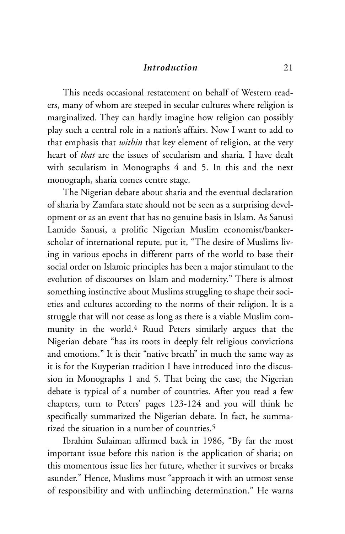#### *Introduction* 21

This needs occasional restatement on behalf of Western readers, many of whom are steeped in secular cultures where religion is marginalized. They can hardly imagine how religion can possibly play such a central role in a nation's affairs. Now I want to add to that emphasis that *within* that key element of religion, at the very heart of *that* are the issues of secularism and sharia. I have dealt with secularism in Monographs 4 and 5. In this and the next monograph, sharia comes centre stage.

The Nigerian debate about sharia and the eventual declaration of sharia by Zamfara state should not be seen as a surprising development or as an event that has no genuine basis in Islam. As Sanusi Lamido Sanusi, a prolific Nigerian Muslim economist/bankerscholar of international repute, put it, "The desire of Muslims living in various epochs in different parts of the world to base their social order on Islamic principles has been a major stimulant to the evolution of discourses on Islam and modernity." There is almost something instinctive about Muslims struggling to shape their societies and cultures according to the norms of their religion. It is a struggle that will not cease as long as there is a viable Muslim community in the world.4 Ruud Peters similarly argues that the Nigerian debate "has its roots in deeply felt religious convictions and emotions." It is their "native breath" in much the same way as it is for the Kuyperian tradition I have introduced into the discussion in Monographs 1 and 5. That being the case, the Nigerian debate is typical of a number of countries. After you read a few chapters, turn to Peters' pages 123-124 and you will think he specifically summarized the Nigerian debate. In fact, he summarized the situation in a number of countries.<sup>5</sup>

Ibrahim Sulaiman affirmed back in 1986, "By far the most important issue before this nation is the application of sharia; on this momentous issue lies her future, whether it survives or breaks asunder." Hence, Muslims must "approach it with an utmost sense of responsibility and with unflinching determination." He warns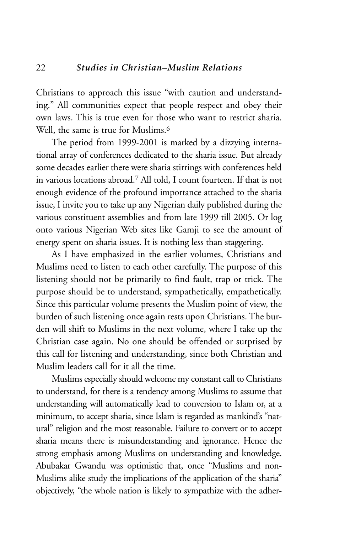Christians to approach this issue "with caution and understanding." All communities expect that people respect and obey their own laws. This is true even for those who want to restrict sharia. Well, the same is true for Muslims.<sup>6</sup>

The period from 1999-2001 is marked by a dizzying international array of conferences dedicated to the sharia issue. But already some decades earlier there were sharia stirrings with conferences held in various locations abroad.7 All told, I count fourteen. If that is not enough evidence of the profound importance attached to the sharia issue, I invite you to take up any Nigerian daily published during the various constituent assemblies and from late 1999 till 2005. Or log onto various Nigerian Web sites like Gamji to see the amount of energy spent on sharia issues. It is nothing less than staggering.

As I have emphasized in the earlier volumes, Christians and Muslims need to listen to each other carefully. The purpose of this listening should not be primarily to find fault, trap or trick. The purpose should be to understand, sympathetically, empathetically. Since this particular volume presents the Muslim point of view, the burden of such listening once again rests upon Christians. The burden will shift to Muslims in the next volume, where I take up the Christian case again. No one should be offended or surprised by this call for listening and understanding, since both Christian and Muslim leaders call for it all the time.

Muslims especially should welcome my constant call to Christians to understand, for there is a tendency among Muslims to assume that understanding will automatically lead to conversion to Islam or, at a minimum, to accept sharia, since Islam is regarded as mankind's "natural" religion and the most reasonable. Failure to convert or to accept sharia means there is misunderstanding and ignorance. Hence the strong emphasis among Muslims on understanding and knowledge. Abubakar Gwandu was optimistic that, once "Muslims and non-Muslims alike study the implications of the application of the sharia" objectively, "the whole nation is likely to sympathize with the adher-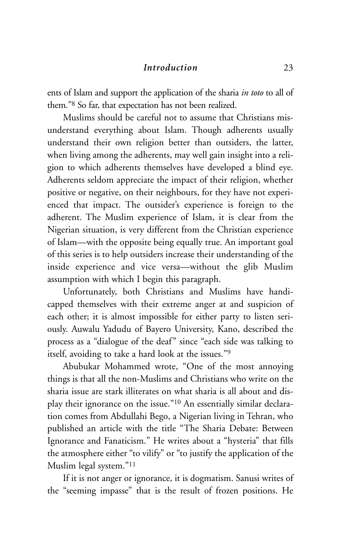#### *Introduction* 23

ents of Islam and support the application of the sharia *in toto* to all of them."8 So far, that expectation has not been realized.

Muslims should be careful not to assume that Christians misunderstand everything about Islam. Though adherents usually understand their own religion better than outsiders, the latter, when living among the adherents, may well gain insight into a religion to which adherents themselves have developed a blind eye. Adherents seldom appreciate the impact of their religion, whether positive or negative, on their neighbours, for they have not experienced that impact. The outsider's experience is foreign to the adherent. The Muslim experience of Islam, it is clear from the Nigerian situation, is very different from the Christian experience of Islam—with the opposite being equally true. An important goal of this series is to help outsiders increase their understanding of the inside experience and vice versa—without the glib Muslim assumption with which I begin this paragraph.

Unfortunately, both Christians and Muslims have handicapped themselves with their extreme anger at and suspicion of each other; it is almost impossible for either party to listen seriously. Auwalu Yadudu of Bayero University, Kano, described the process as a "dialogue of the deaf" since "each side was talking to itself, avoiding to take a hard look at the issues."9

Abubukar Mohammed wrote, "One of the most annoying things is that all the non-Muslims and Christians who write on the sharia issue are stark illiterates on what sharia is all about and display their ignorance on the issue."10 An essentially similar declaration comes from Abdullahi Bego, a Nigerian living in Tehran, who published an article with the title "The Sharia Debate: Between Ignorance and Fanaticism." He writes about a "hysteria" that fills the atmosphere either "to vilify" or "to justify the application of the Muslim legal system."11

If it is not anger or ignorance, it is dogmatism. Sanusi writes of the "seeming impasse" that is the result of frozen positions. He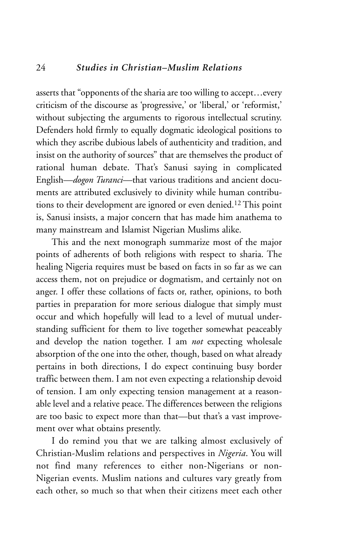asserts that "opponents of the sharia are too willing to accept...every criticism of the discourse as 'progressive,' or 'liberal,' or 'reformist,' without subjecting the arguments to rigorous intellectual scrutiny. Defenders hold firmly to equally dogmatic ideological positions to which they ascribe dubious labels of authenticity and tradition, and insist on the authority of sources" that are themselves the product of rational human debate. That's Sanusi saying in complicated English—*dogon Turanci*—that various traditions and ancient documents are attributed exclusively to divinity while human contributions to their development are ignored or even denied.12 This point is, Sanusi insists, a major concern that has made him anathema to many mainstream and Islamist Nigerian Muslims alike.

This and the next monograph summarize most of the major points of adherents of both religions with respect to sharia. The healing Nigeria requires must be based on facts in so far as we can access them, not on prejudice or dogmatism, and certainly not on anger. I offer these collations of facts or, rather, opinions, to both parties in preparation for more serious dialogue that simply must occur and which hopefully will lead to a level of mutual understanding sufficient for them to live together somewhat peaceably and develop the nation together. I am *not* expecting wholesale absorption of the one into the other, though, based on what already pertains in both directions, I do expect continuing busy border traffic between them. I am not even expecting a relationship devoid of tension. I am only expecting tension management at a reasonable level and a relative peace. The differences between the religions are too basic to expect more than that—but that's a vast improvement over what obtains presently.

I do remind you that we are talking almost exclusively of Christian-Muslim relations and perspectives in *Nigeria*. You will not find many references to either non-Nigerians or non-Nigerian events. Muslim nations and cultures vary greatly from each other, so much so that when their citizens meet each other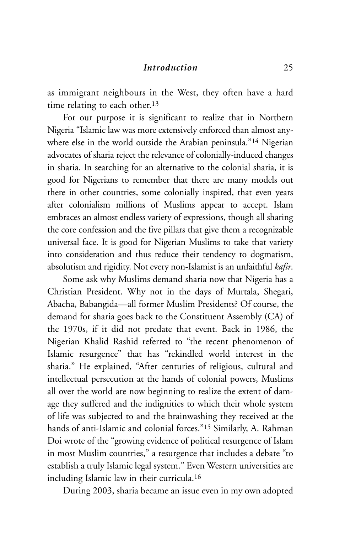as immigrant neighbours in the West, they often have a hard time relating to each other.<sup>13</sup>

For our purpose it is significant to realize that in Northern Nigeria "Islamic law was more extensively enforced than almost anywhere else in the world outside the Arabian peninsula."14 Nigerian advocates of sharia reject the relevance of colonially-induced changes in sharia. In searching for an alternative to the colonial sharia, it is good for Nigerians to remember that there are many models out there in other countries, some colonially inspired, that even years after colonialism millions of Muslims appear to accept. Islam embraces an almost endless variety of expressions, though all sharing the core confession and the five pillars that give them a recognizable universal face. It is good for Nigerian Muslims to take that variety into consideration and thus reduce their tendency to dogmatism, absolutism and rigidity. Not every non-Islamist is an unfaithful *kafir*.

Some ask why Muslims demand sharia now that Nigeria has a Christian President. Why not in the days of Murtala, Shegari, Abacha, Babangida—all former Muslim Presidents? Of course, the demand for sharia goes back to the Constituent Assembly (CA) of the 1970s, if it did not predate that event. Back in 1986, the Nigerian Khalid Rashid referred to "the recent phenomenon of Islamic resurgence" that has "rekindled world interest in the sharia." He explained, "After centuries of religious, cultural and intellectual persecution at the hands of colonial powers, Muslims all over the world are now beginning to realize the extent of damage they suffered and the indignities to which their whole system of life was subjected to and the brainwashing they received at the hands of anti-Islamic and colonial forces."15 Similarly, A. Rahman Doi wrote of the "growing evidence of political resurgence of Islam in most Muslim countries," a resurgence that includes a debate "to establish a truly Islamic legal system." Even Western universities are including Islamic law in their curricula.16

During 2003, sharia became an issue even in my own adopted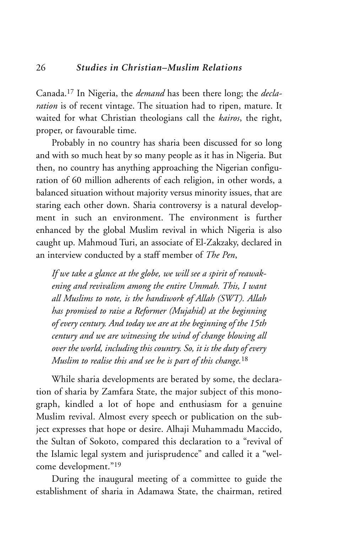Canada.17 In Nigeria, the *demand* has been there long; the *declaration* is of recent vintage. The situation had to ripen, mature. It waited for what Christian theologians call the *kairos*, the right, proper, or favourable time.

Probably in no country has sharia been discussed for so long and with so much heat by so many people as it has in Nigeria. But then, no country has anything approaching the Nigerian configuration of 60 million adherents of each religion, in other words, a balanced situation without majority versus minority issues, that are staring each other down. Sharia controversy is a natural development in such an environment. The environment is further enhanced by the global Muslim revival in which Nigeria is also caught up. Mahmoud Turi, an associate of El-Zakzaky, declared in an interview conducted by a staff member of *The Pen*,

*If we take a glance at the globe, we will see a spirit of reawakening and revivalism among the entire Ummah. This, I want all Muslims to note, is the handiwork of Allah (SWT). Allah has promised to raise a Reformer (Mujahid) at the beginning of every century. And today we are at the beginning of the 15th century and we are witnessing the wind of change blowing all over the world, including this country. So, it is the duty of every Muslim to realise this and see he is part of this change.*<sup>18</sup>

While sharia developments are berated by some, the declaration of sharia by Zamfara State, the major subject of this monograph, kindled a lot of hope and enthusiasm for a genuine Muslim revival. Almost every speech or publication on the subject expresses that hope or desire. Alhaji Muhammadu Maccido, the Sultan of Sokoto, compared this declaration to a "revival of the Islamic legal system and jurisprudence" and called it a "welcome development."19

During the inaugural meeting of a committee to guide the establishment of sharia in Adamawa State, the chairman, retired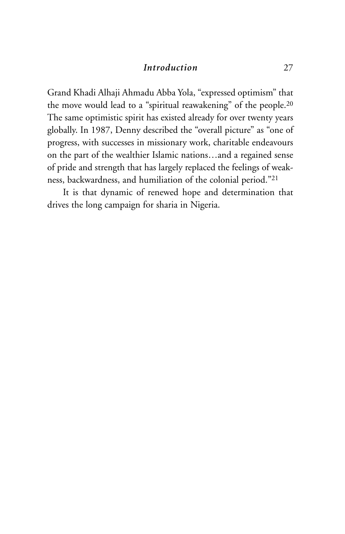### *Introduction* 27

Grand Khadi Alhaji Ahmadu Abba Yola, "expressed optimism" that the move would lead to a "spiritual reawakening" of the people.20 The same optimistic spirit has existed already for over twenty years globally. In 1987, Denny described the "overall picture" as "one of progress, with successes in missionary work, charitable endeavours on the part of the wealthier Islamic nations…and a regained sense of pride and strength that has largely replaced the feelings of weakness, backwardness, and humiliation of the colonial period."21

It is that dynamic of renewed hope and determination that drives the long campaign for sharia in Nigeria.